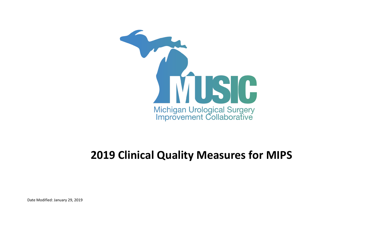

## **2019 Clinical Quality Measures for MIPS**

Date Modified: January 29, 2019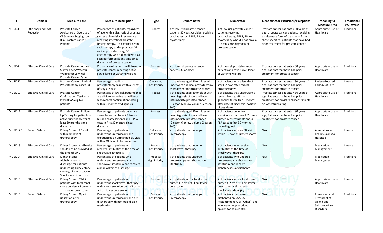|          | Domain                                  | <b>Measure Title</b>                                                                                                                         | <b>Measure Description</b>                                                                                                                                                                                                                                                                                                                                     | <b>Type</b>                      | Denominator                                                                                                                                        | <b>Numerator</b>                                                                                                                                                      | <b>Denominator Exclusions/Exceptions</b>                                                                                                                                                                   | Meaningful<br><b>Measure Area</b>                                                 | <b>Traditional</b><br>vs. Inverse |
|----------|-----------------------------------------|----------------------------------------------------------------------------------------------------------------------------------------------|----------------------------------------------------------------------------------------------------------------------------------------------------------------------------------------------------------------------------------------------------------------------------------------------------------------------------------------------------------------|----------------------------------|----------------------------------------------------------------------------------------------------------------------------------------------------|-----------------------------------------------------------------------------------------------------------------------------------------------------------------------|------------------------------------------------------------------------------------------------------------------------------------------------------------------------------------------------------------|-----------------------------------------------------------------------------------|-----------------------------------|
| MUSIC3   | <b>Efficiency and Cost</b><br>Reduction | Prostate Cancer:<br>Avoidance of Overuse of<br>CT Scan for Staging Low<br><b>Risk Prostate Cancer</b><br>Patients                            | Percentage of patients, regardless<br>of age, with a diagnosis of prostate<br>cancer at low risk of recurrence<br>receiving interstitial prostate<br>brachytherapy, OR external beam<br>radiotherapy to the prostate, OR<br>radical prostatectomy, OR<br>cryotherapy who did not have a CT<br>scan performed at any time since<br>diagnosis of prostate cancer | Process                          | # of low-risk prostate cancer<br>patients 30 years or older receiving<br>brachytherapy, EBRT, RP, or<br>cryotherapy                                | # of low risk prostate cancer<br>patients receiving<br>brachytherapy, EBRT, RP, or<br>cryotherapy who did not have a<br>CT scan since diagnosis of<br>prostate cancer | Prostate cancer patients < 30 years of<br>age; prostate cancer patients receiving<br>an alternate form of treatment from<br>those specified; patients that have had<br>prior treatment for prostate cancer | Appropriate Use of<br>Healthcare                                                  | Traditional                       |
| MUSIC4   | <b>Effective Clinical Care</b>          | <b>Prostate Cancer: Active</b><br>Surveillance/Watchful<br>Waiting for Low Risk<br><b>Prostate Cancer Patients</b>                           | Proportion of patients with low-risk<br>prostate cancer receiving active<br>surveillance or watchful waiting                                                                                                                                                                                                                                                   | Process                          | # of low-risk prostate cancer<br>patients 30 or older                                                                                              | # of low-risk prostate cancer<br>patients on active surveillance<br>or watchful waiting                                                                               | Prostate cancer patients < 30 years of<br>age; patients that have had prior<br>treatment for prostate cancer                                                                                               | Appropriate Use of<br>Healthcare                                                  | Traditional                       |
| MUSIC5*  | <b>Effective Clinical Care</b>          | Prostate Cancer: Radical<br>Prostatectomy Cases LOS                                                                                          | Percentage of radical<br>prostatectomy cases with a length<br>of stay > 2 days                                                                                                                                                                                                                                                                                 | Outcome;<br><b>High Priority</b> | # of patients aged 30 or older who<br>underwent a radical prostatectomy<br>as treatment for prostate cancer                                        | # of patients with a length of<br>stay > 2 days after radical<br>prostatectomy                                                                                        | Prostate cancer patients < 30 years of<br>age; patients that have had prior<br>treatment for prostate cancer                                                                                               | Patient-Focused<br>Episode of Care                                                | Inverse                           |
| MUSIC10  | <b>Effective Clinical Care</b>          | Prostate Cancer:<br>Confirmation Testing in<br>low risk AS eligible<br>patients                                                              | Percentage of low risk patients that<br>are eligible for active surveillance<br>who receive confirmation testing<br>within 6 months of diagnosis                                                                                                                                                                                                               | Process                          | # of patients aged 30 or older with<br>new diagnosis of low and low-<br>intermediate prostate cancer<br>(Gleason 6 or low volume Gleason<br>$3+4)$ | # of patients that underwent a<br>second biopsy, MRI, or<br>genomics test within 6 months<br>after date of diagnosis (positive<br>biopsy date)                        | Prostate cancer patients < 30 years of<br>age; Patients that have had prior<br>treatment for prostate cancer; Patients<br>on watchful waiting                                                              | Appropriate Use of<br>Healthcare                                                  | Traditional                       |
| MUSIC11  | <b>Effective Clinical Care</b>          | Prostate Cancer: Follow-<br>Up Testing for patients on<br>active surveillance for at<br>least 30 months since<br>diagnosis                   | Percentage of patients on active<br>surveillance that have ≥ 2 tumor<br>burden reassessments and 3 PSA<br>tests in first 30 months since<br>diagnosis                                                                                                                                                                                                          | Process                          | # of patients aged 30 or older with<br>new diagnosis of low and low-<br>intermediate prostate cancer<br>(Gleason 6 or low volume Gleason<br>$3+4)$ | # of patients on active<br>surveillance that have ≥ 2 tumor<br>burden reassessments and 3<br>PSA tests in first 30 months<br>since diagnosis                          | Prostate cancer patients < 30 years of<br>age; Patients that have had prior<br>treatment for prostate cancer                                                                                               | Appropriate Use of<br>Healthcare                                                  | Traditional                       |
| MUSIC12* | <b>Patient Safety</b>                   | Kidney Stones: ED visit<br>within 30 days of<br>ureteroscopy                                                                                 | Percentage of patients who<br>underwent ureteroscopy and<br>experienced an unplanned ED visit<br>within 30 days of the procedure                                                                                                                                                                                                                               | Outcome;<br><b>High Priority</b> | # of patients that undergo<br>ureteroscopy                                                                                                         | # of patients with an ED visit<br>within 30 days of ureteroscopy                                                                                                      | N/A                                                                                                                                                                                                        | Admissions and<br>Readmissions to<br>Hospitals                                    | Inverse                           |
| MUSIC13  | <b>Effective Clinical Care</b>          | Kidney Stones: Antibiotics<br>should not be provided at<br>the time of SWL                                                                   | Percentage of patients who<br>received antibiotics at the time of<br>shockwave lithotripsy                                                                                                                                                                                                                                                                     | Process;<br><b>High Priority</b> | # of patients that undergo<br>shockwave lithotripsy                                                                                                | # of patients who receive<br>antibiotics at the time of<br>shockwave lithotripsy                                                                                      | N/A                                                                                                                                                                                                        | Medication<br>Management                                                          | Inverse                           |
| MUSIC14  | <b>Effective Clinical Care</b>          | Kidney Stones:<br>Alphablockers at<br>discharge for patients<br>undergoing kidney stone<br>surgery, Ureteroscopy or<br>Shockwave Lithotripsy | Percentage of patients who<br>underwent ureteroscopy or<br>shockwave lithotripsy and received<br>alphablockers at discharge                                                                                                                                                                                                                                    | Process;<br><b>High Priority</b> | # of patients that undergo<br>ureteroscopy and shockwave<br>lithotripsy                                                                            | # of patients who undergo<br>ureteroscopy or shockwave<br>lithotripsy and receive<br>alphablockers at discharge                                                       | N/A                                                                                                                                                                                                        | Medication<br>Management                                                          | Traditional                       |
| MUSIC15  | <b>Effective Clinical Care</b>          | Kidney Stones: SWL in<br>patients with total renal<br>stone burden > 2 cm or ><br>1 cm lower pole stones                                     | Percentage of patients who<br>underwent shockwave lithotripsy<br>with a total stone burden > 2 cm or<br>> 1 cm lower pole stones                                                                                                                                                                                                                               | Process                          | # of patients with a total stone<br>burden $> 2$ cm or $> 1$ cm lower<br>pole stones                                                               | # of patients with a total stone<br>burden $> 2$ cm or $> 1$ cm lower<br>pole stones and undergo<br>shockwave lithotripsy                                             | N/A                                                                                                                                                                                                        | Appropriate Use of<br>Healthcare                                                  | Inverse                           |
| MUSIC16  | <b>Patient Safety</b>                   | Kidney Stones: Opioid<br>utilization after<br>ureteroscopy                                                                                   | Percentage of patients who<br>underwent ureteroscopy and are<br>discharged with non-opioid pain<br>medication                                                                                                                                                                                                                                                  | Process;<br><b>High Priority</b> | # of patients that undergo<br>ureteroscopy                                                                                                         | # of patients that were<br>discharged on NSAIDS,<br>Acetaminophen, or "Other" and<br>who were not prescribed<br>opioids for pain control                              | N/A                                                                                                                                                                                                        | Prevention and<br>Treatment of<br>Opioid and<br>Substance Use<br><b>Disorders</b> | Traditional                       |